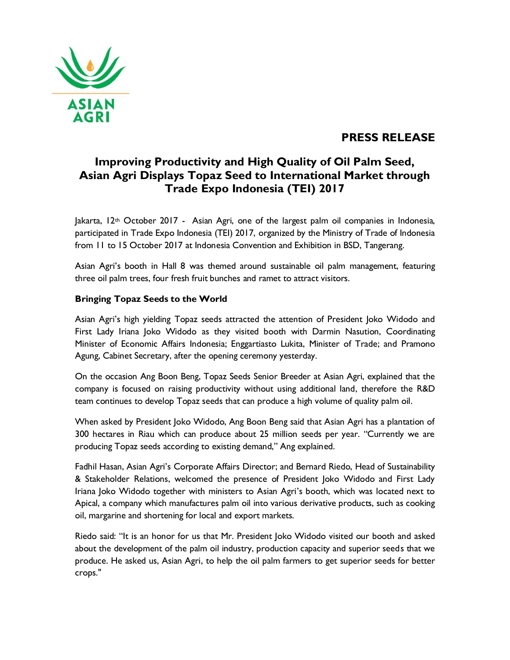

## **PRESS RELEASE**

# **Improving Productivity and High Quality of Oil Palm Seed, Asian Agri Displays Topaz Seed to International Market through Trade Expo Indonesia (TEI) 2017**

 $\lambda$ lakarta,  $12$ <sup>th</sup> October 2017 - Asian Agri, one of the largest palm oil companies in Indonesia, participated in Trade Expo Indonesia (TEI) 2017, organized by the Ministry of Trade of Indonesia from 11 to 15 October 2017 at Indonesia Convention and Exhibition in BSD, Tangerang.

Asian Agri's booth in Hall 8 was themed around sustainable oil palm management, featuring three oil palm trees, four fresh fruit bunches and ramet to attract visitors.

### **Bringing Topaz Seeds to the World**

Asian Agri's high yielding Topaz seeds attracted the attention of President Joko Widodo and First Lady Iriana Joko Widodo as they visited booth with Darmin Nasution, Coordinating Minister of Economic Affairs Indonesia; Enggartiasto Lukita, Minister of Trade; and Pramono Agung, Cabinet Secretary, after the opening ceremony yesterday.

On the occasion Ang Boon Beng, Topaz Seeds Senior Breeder at Asian Agri, explained that the company is focused on raising productivity without using additional land, therefore the R&D team continues to develop Topaz seeds that can produce a high volume of quality palm oil.

When asked by President Joko Widodo, Ang Boon Beng said that Asian Agri has a plantation of 300 hectares in Riau which can produce about 25 million seeds per year. "Currently we are producing Topaz seeds according to existing demand," Ang explained.

Fadhil Hasan, Asian Agri's Corporate Affairs Director; and Bernard Riedo, Head of Sustainability & Stakeholder Relations, welcomed the presence of President Joko Widodo and First Lady Iriana Joko Widodo together with ministers to Asian Agri's booth, which was located next to Apical, a company which manufactures palm oil into various derivative products, such as cooking oil, margarine and shortening for local and export markets.

Riedo said: "It is an honor for us that Mr. President Joko Widodo visited our booth and asked about the development of the palm oil industry, production capacity and superior seeds that we produce. He asked us, Asian Agri, to help the oil palm farmers to get superior seeds for better crops."